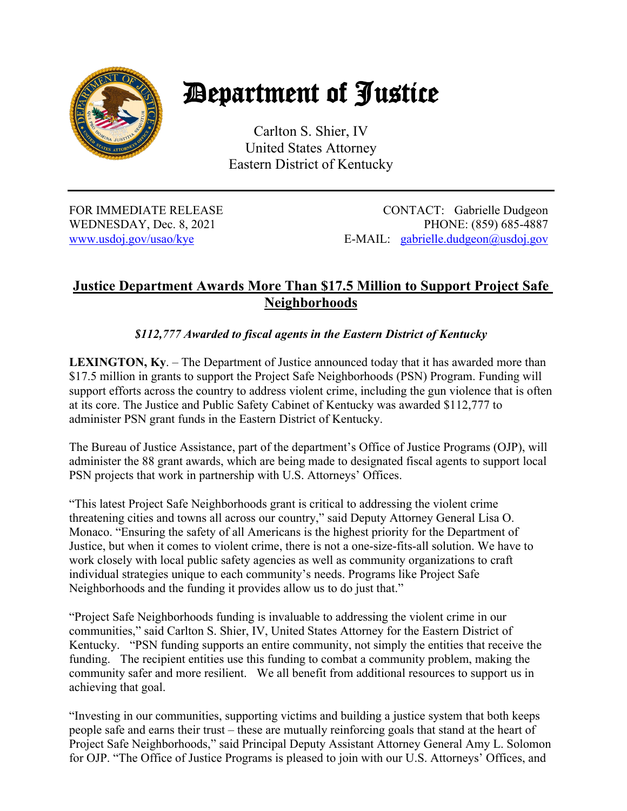

## Department of Justice

Carlton S. Shier, IV United States Attorney Eastern District of Kentucky

FOR IMMEDIATE RELEASE CONTACT: Gabrielle Dudgeon WEDNESDAY, Dec. 8, 2021 PHONE: (859) 685-4887 www.usdoj.gov/usao/kye E-MAIL: gabrielle.dudgeon@usdoj.gov

## **Justice Department Awards More Than \$17.5 Million to Support Project Safe Neighborhoods**

## *\$112,777 Awarded to fiscal agents in the Eastern District of Kentucky*

**LEXINGTON, Ky**. – The Department of Justice announced today that it has awarded more than \$17.5 million in grants to support the Project Safe Neighborhoods (PSN) Program. Funding will support efforts across the country to address violent crime, including the gun violence that is often at its core. The Justice and Public Safety Cabinet of Kentucky was awarded \$112,777 to administer PSN grant funds in the Eastern District of Kentucky.

The Bureau of Justice Assistance, part of the department's Office of Justice Programs (OJP), will administer the 88 grant awards, which are being made to designated fiscal agents to support local PSN projects that work in partnership with U.S. Attorneys' Offices.

"This latest Project Safe Neighborhoods grant is critical to addressing the violent crime threatening cities and towns all across our country," said Deputy Attorney General Lisa O. Monaco. "Ensuring the safety of all Americans is the highest priority for the Department of Justice, but when it comes to violent crime, there is not a one-size-fits-all solution. We have to work closely with local public safety agencies as well as community organizations to craft individual strategies unique to each community's needs. Programs like Project Safe Neighborhoods and the funding it provides allow us to do just that."

"Project Safe Neighborhoods funding is invaluable to addressing the violent crime in our communities," said Carlton S. Shier, IV, United States Attorney for the Eastern District of Kentucky. "PSN funding supports an entire community, not simply the entities that receive the funding. The recipient entities use this funding to combat a community problem, making the community safer and more resilient. We all benefit from additional resources to support us in achieving that goal.

"Investing in our communities, supporting victims and building a justice system that both keeps people safe and earns their trust – these are mutually reinforcing goals that stand at the heart of Project Safe Neighborhoods," said Principal Deputy Assistant Attorney General Amy L. Solomon for OJP. "The Office of Justice Programs is pleased to join with our U.S. Attorneys' Offices, and